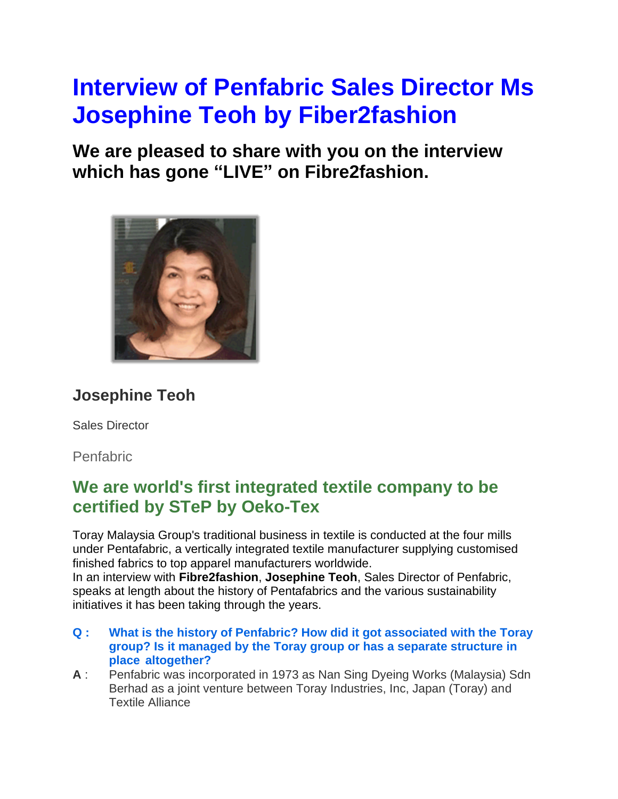# **Interview of Penfabric Sales Director Ms Josephine Teoh by Fiber2fashion**

**We are pleased to share with you on the interview which has gone "LIVE" on Fibre2fashion.**



# **Josephine Teoh**

Sales Director

Penfabric

# **We are world's first integrated textile company to be certified by STeP by Oeko-Tex**

Toray Malaysia Group's traditional business in textile is conducted at the four mills under Pentafabric, a vertically integrated textile manufacturer supplying customised finished fabrics to top apparel manufacturers worldwide. In an interview with **Fibre2fashion**, **Josephine Teoh**, Sales Director of Penfabric, speaks at length about the history of Pentafabrics and the various sustainability initiatives it has been taking through the years.

- **Q : What is the history of Penfabric? How did it got associated with the Toray group? Is it managed by the Toray group or has a separate structure in place altogether?**
- **A** : Penfabric was incorporated in 1973 as Nan Sing Dyeing Works (Malaysia) Sdn Berhad as a joint venture between Toray Industries, Inc, Japan (Toray) and Textile Alliance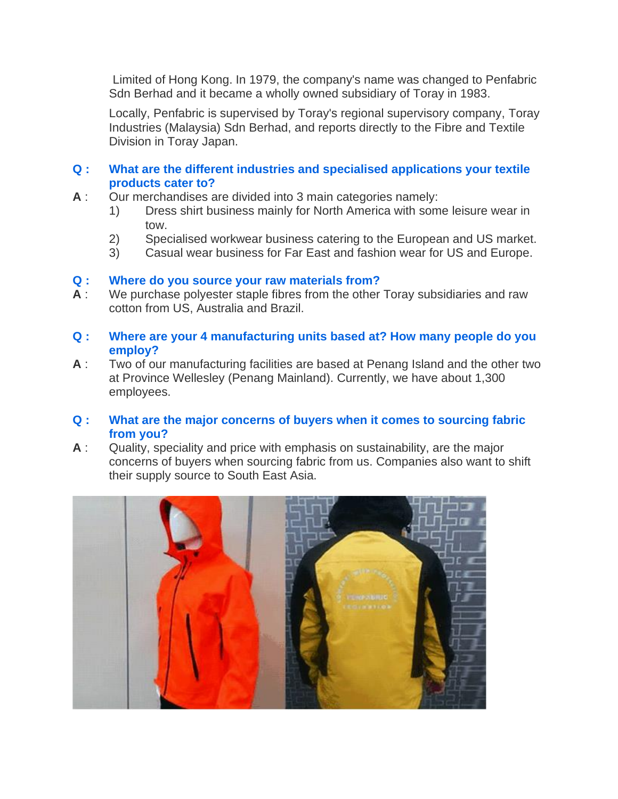Limited of Hong Kong. In 1979, the company's name was changed to Penfabric Sdn Berhad and it became a wholly owned subsidiary of Toray in 1983.

Locally, Penfabric is supervised by Toray's regional supervisory company, Toray Industries (Malaysia) Sdn Berhad, and reports directly to the Fibre and Textile Division in Toray Japan.

# **Q : What are the different industries and specialised applications your textile products cater to?**

- **A** : Our merchandises are divided into 3 main categories namely:
	- 1) Dress shirt business mainly for North America with some leisure wear in tow.
	- 2) Specialised workwear business catering to the European and US market.
	- 3) Casual wear business for Far East and fashion wear for US and Europe.

# **Q : Where do you source your raw materials from?**

- **A** : We purchase polyester staple fibres from the other Toray subsidiaries and raw cotton from US, Australia and Brazil.
- **Q : Where are your 4 manufacturing units based at? How many people do you employ?**
- **A** : Two of our manufacturing facilities are based at Penang Island and the other two at Province Wellesley (Penang Mainland). Currently, we have about 1,300 employees.

### **Q : What are the major concerns of buyers when it comes to sourcing fabric from you?**

**A** : Quality, speciality and price with emphasis on sustainability, are the major concerns of buyers when sourcing fabric from us. Companies also want to shift their supply source to South East Asia.

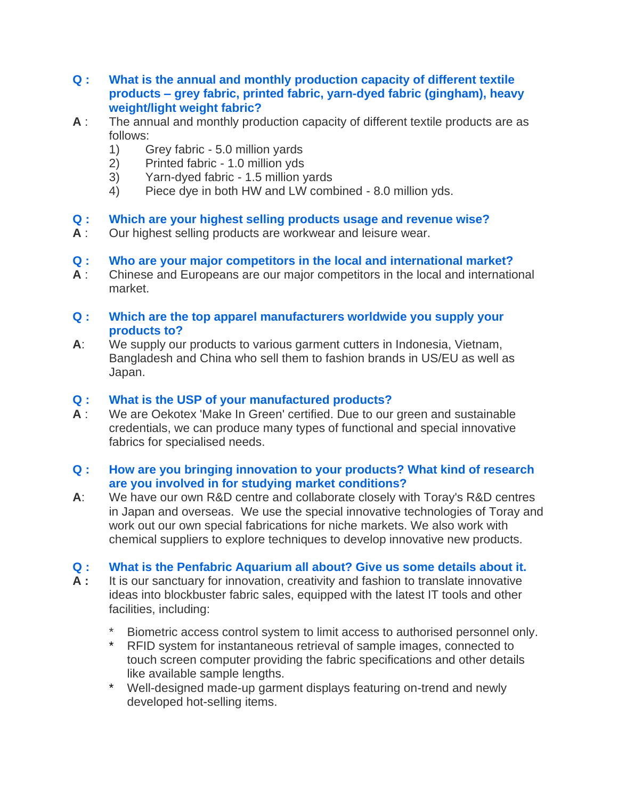- **Q : What is the annual and monthly production capacity of different textile products – grey fabric, printed fabric, yarn-dyed fabric (gingham), heavy weight/light weight fabric?**
- **A** : The annual and monthly production capacity of different textile products are as follows:
	- 1) Grey fabric 5.0 million yards
	- 2) Printed fabric 1.0 million yds
	- 3) Yarn-dyed fabric 1.5 million yards
	- 4) Piece dye in both HW and LW combined 8.0 million yds.

# **Q : Which are your highest selling products usage and revenue wise?**

**A** : Our highest selling products are workwear and leisure wear.

# **Q : Who are your major competitors in the local and international market?**

**A** : Chinese and Europeans are our major competitors in the local and international market.

## **Q : Which are the top apparel manufacturers worldwide you supply your products to?**

**A**: We supply our products to various garment cutters in Indonesia, Vietnam, Bangladesh and China who sell them to fashion brands in US/EU as well as Japan.

# **Q : What is the USP of your manufactured products?**

**A** : We are Oekotex 'Make In Green' certified. Due to our green and sustainable credentials, we can produce many types of functional and special innovative fabrics for specialised needs.

# **Q : How are you bringing innovation to your products? What kind of research are you involved in for studying market conditions?**

**A**: We have our own R&D centre and collaborate closely with Toray's R&D centres in Japan and overseas. We use the special innovative technologies of Toray and work out our own special fabrications for niche markets. We also work with chemical suppliers to explore techniques to develop innovative new products.

# **Q : What is the Penfabric Aquarium all about? Give us some details about it.**

- **A :** It is our sanctuary for innovation, creativity and fashion to translate innovative ideas into blockbuster fabric sales, equipped with the latest IT tools and other facilities, including:
	- Biometric access control system to limit access to authorised personnel only.
	- \* RFID system for instantaneous retrieval of sample images, connected to touch screen computer providing the fabric specifications and other details like available sample lengths.
	- \* Well-designed made-up garment displays featuring on-trend and newly developed hot-selling items.